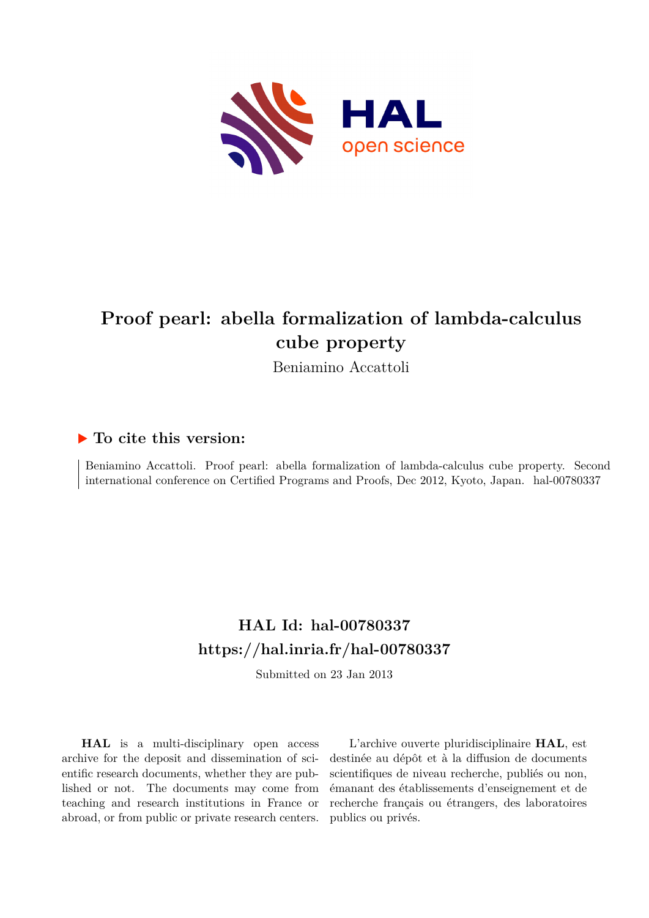

# **Proof pearl: abella formalization of lambda-calculus cube property**

Beniamino Accattoli

### **To cite this version:**

Beniamino Accattoli. Proof pearl: abella formalization of lambda-calculus cube property. Second international conference on Certified Programs and Proofs, Dec 2012, Kyoto, Japan. hal-00780337

## **HAL Id: hal-00780337 <https://hal.inria.fr/hal-00780337>**

Submitted on 23 Jan 2013

**HAL** is a multi-disciplinary open access archive for the deposit and dissemination of scientific research documents, whether they are published or not. The documents may come from teaching and research institutions in France or abroad, or from public or private research centers.

L'archive ouverte pluridisciplinaire **HAL**, est destinée au dépôt et à la diffusion de documents scientifiques de niveau recherche, publiés ou non, émanant des établissements d'enseignement et de recherche français ou étrangers, des laboratoires publics ou privés.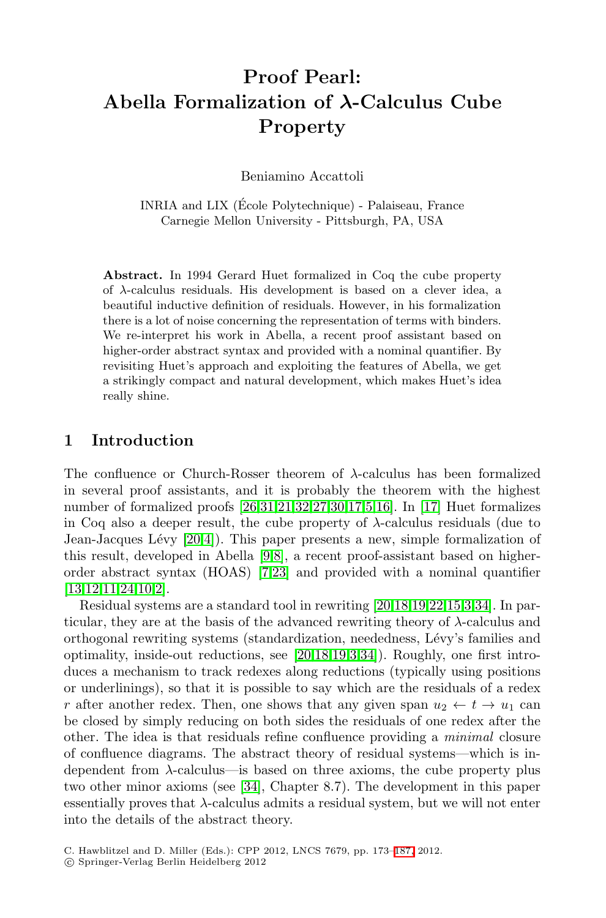### **Proof Pearl: Abella Formalization of** *λ***-Calculus Cube Property**

Beniamino Accattoli

INRIA and LIX (Ecole Polytechnique) - Palaiseau, France ´ Carnegie Mellon University - Pittsburgh, PA, USA

**Abstract.** In 1994 Gerard Huet formalized in Coq the cube property of λ-calculus residuals. His development is based on a clever idea, a beautiful inductive definition of residuals. However, in his formalization there is a lot of noise concerning the representation of terms with binders. We re-interpret his work in Abella, a recent proof assistant based on higher-order abstract syntax and provided with a nominal quantifier. By revisiting Huet's approach and exploiting the features of Abella, we get a strikingly compact and natural development, which makes Huet's idea really shine.

#### **1 Introduction**

The confluence or Church-Rosser theorem of  $\lambda$ -calculus has been formalized in several proof assistants, and it is probably the theorem with the highest number of formalized proofs [26,31,21,32,27,30,17,5,16]. In [17] Huet formalizes in Coq also a deeper result, the cube property of  $\lambda$ -calculus residuals (due to Jean-Jacques Lévy  $[20,4]$ ). This paper presents a new, simple formalization of this result, developed in Abella [9,8], a recent proof-assistant based on higherorder abstract syntax (HOAS) [7,23] and provided with a nominal quantifier [13,12,11,24,10,2].

Residual systems are a standard tool in rewriting [20,18,19,22,15,3,34]. In particular, they are at the basis of the advanced rewriting theory of  $\lambda$ -calculus and orthogonal rewriting systems (standardization, neededness, L´evy's families and optimality, inside-out reductions, see [20,18,19,3,34]). Roughly, one first introduces a mechanism to track redexes along reductions (typically using positions or underlinings), so that it is possible to say which are the residuals of a redex r after another redex. Then, one shows that any given span  $u_2 \leftarrow t \rightarrow u_1$  can be closed by simply reducing on both sides the residuals of one redex after the other. The idea is that residuals refine confluence providing a *minimal* closure of confluence diagrams. The abstract theory of residual systems—which is independent from  $\lambda$ -calculus—is based on three axioms, the cube property plus two other minor axioms (see [34], Chapter 8.7). The development in this paper essentially proves that  $\lambda$ -calculus admits a residual system, but we will not enter into the details of the abstract theory.

C. Hawblitzel and D. Miller (Eds.): CPP 2012, LNCS 7679, pp. 173[–187,](#page-15-0) 2012.

<sup>-</sup>c Springer-Verlag Berlin Heidelberg 2012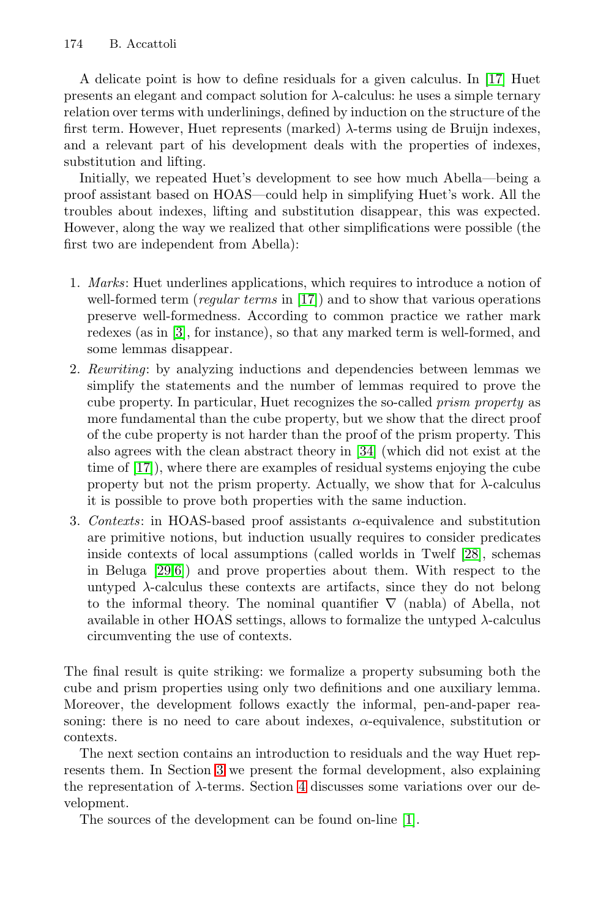A delicate point is how to define residuals for a given calculus. In [17] Huet presents an elegant and compact solution for  $\lambda$ -calculus: he uses a simple ternary relation over terms with underlinings, defined by induction on the structure of the first term. However, Huet represents (marked)  $\lambda$ -terms using de Bruijn indexes, and a relevant part of his development deals with the properties of indexes, substitution and lifting.

Initially, we repeated Huet's development to see how much Abella—being a proof assistant based on HOAS—could help in simplifying Huet's work. All the troubles about indexes, lifting and substitution disappear, this was expected. However, along the way we realized that other simplifications were possible (the first two are independent from Abella):

- 1. *Marks*: Huet underlines applications, which requires to introduce a notion of well-formed term (*regular terms* in [17]) and to show that various operations preserve well-formedness. According to common practice we rather mark redexes (as in [3], for instance), so that any marked term is well-formed, and some lemmas disappear.
- 2. *Rewriting*: by analyzing inductions and dependencies between lemmas we simplify the statements and the number of lemmas required to prove the cube property. In particular, Huet recognizes the so-called *prism property* as more fundamental than the cube property, but we show that the direct proof of the cube property is not harder than the proof of the prism property. This also agrees with the clean abstract theory in [34] (which did not exist at the time of [17]), where there are examples of residual systems enjoying the cube property but not the prism property. Actually, we show that for  $\lambda$ -calculus it is possible to prove both properties with the same induction.
- 3. *Contexts*: in HOAS-based proof assistants α-equivalence and substitution are primitive notions, but induction usually requires to consider predicates inside contexts of local assumptions (called worlds in Twelf [28], schemas in Beluga [29,6]) and prove properties about them. With respect to the untyped  $\lambda$ -calculus these contexts are artifacts, since they do not belong to the informal theory. The nominal quantifier  $\nabla$  (nabla) of Abella, not available in other HOAS settings, allows to formalize the untyped  $\lambda$ -calculus circumventing the use of contexts.

The final result is quite striking: we formalize a property subsuming both the cube and prism properties using only two definitions and one auxiliary lemma. Moreover, the development follows exactly the informal, pen-and-paper reasoning: there is no need to care about indexes, α-equivalence, substitution or contexts.

The next section contains an introduction to residuals and the way Huet represents them. In Section 3 we present the formal development, also explaining the representation of  $\lambda$ -terms. Section 4 discusses some variations over our development.

The sources of the development can be found on-line [1].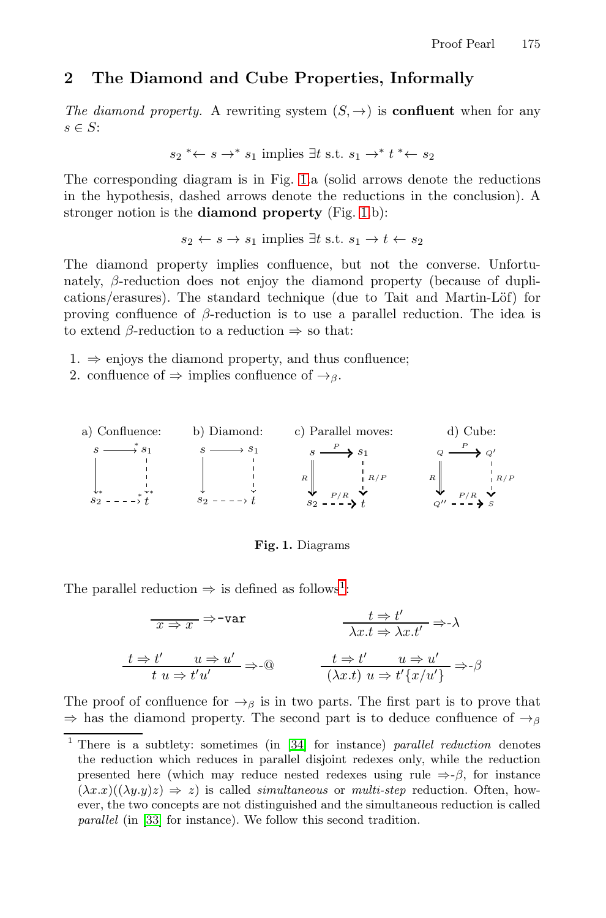#### **2 The Diamond and Cube Properties, Informally**

*The diamond property.* A rewriting system  $(S, \rightarrow)$  is **confluent** when for any  $s \in S$ :

$$
s_2 \ast \leftarrow s \rightarrow \ast s_1
$$
 implies  $\exists t$  s.t.  $s_1 \rightarrow \ast t \ast \leftarrow s_2$ 

The corresponding diagram is in Fig. 1.a (solid arrows denote the reductions in the hypothesis, dashed arrows denote the reductions in the conclusion). A stronger notion is the **diamond property** (Fig. 1.b):

$$
s_2 \leftarrow s \rightarrow s_1
$$
 implies  $\exists t$  s.t.  $s_1 \rightarrow t \leftarrow s_2$ 

The diamond property implies confluence, but not the converse. Unfortunately,  $\beta$ -reduction does not enjoy the diamond property (because of duplications/erasures). The standard technique (due to Tait and Martin-Löf) for proving confluence of  $\beta$ -reduction is to use a parallel reduction. The idea is to extend  $\beta$ -reduction to a reduction  $\Rightarrow$  so that:

- $1. \Rightarrow$  enjoys the diamond property, and thus confluence;
- 2. confluence of  $\Rightarrow$  implies confluence of  $\rightarrow$ <sub>β</sub>.



**Fig. 1.** Diagrams

The parallel reduction  $\Rightarrow$  is defined as follows<sup>1</sup>:

$$
\frac{t \Rightarrow t'}{x \Rightarrow x} \Rightarrow \text{var} \qquad \frac{t \Rightarrow t'}{\lambda x.t \Rightarrow \lambda x.t'} \Rightarrow \lambda
$$
\n
$$
\frac{t \Rightarrow t'}{t u \Rightarrow t' u'} \Rightarrow 0 \qquad \frac{t \Rightarrow t' \qquad u \Rightarrow u'}{(\lambda x.t) u \Rightarrow t' \{x/u'\}} \Rightarrow \beta
$$

The proof of confluence for  $\rightarrow_{\beta}$  is in two parts. The first part is to prove that  $\Rightarrow$  has the diamond property. The second part is to deduce confluence of  $\rightarrow_{\beta}$ 

<sup>1</sup> There is a subtlety: sometimes (in [34] for instance) *parallel reduction* denotes the reduction which reduces in parallel disjoint redexes only, while the reduction presented here (which may reduce nested redexes using rule  $\Rightarrow$ -β, for instance  $(\lambda x.x)((\lambda y.y)z) \Rightarrow z)$  is called *simultaneous* or *multi-step* reduction. Often, however, the two concepts are not distinguished and the simultaneous reduction is called *parallel* (in [33] for instance). We follow this second tradition.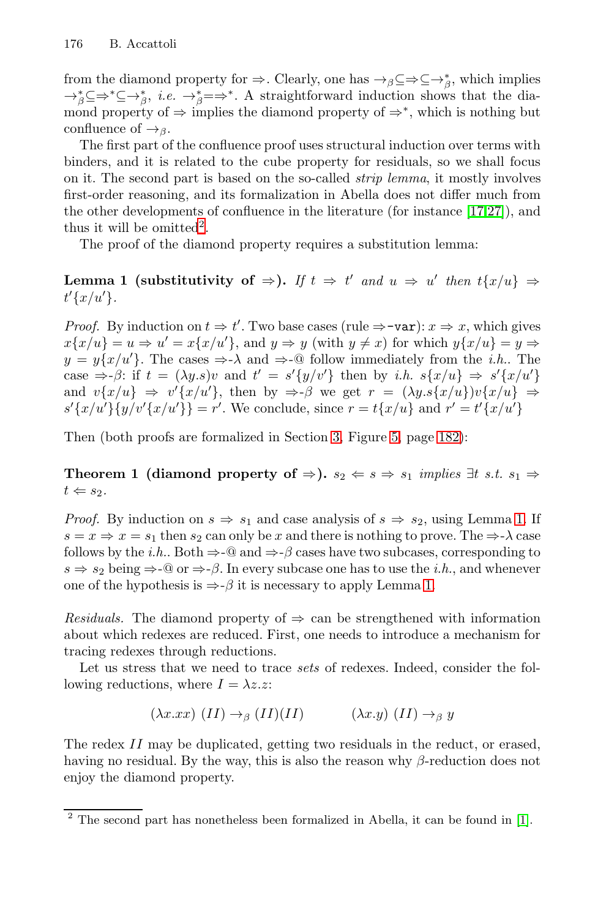from the diamond property for  $\Rightarrow$ . Clearly, one has  $\rightarrow$ <sub>β</sub>⊆ $\Rightarrow$ ⊆ $\rightarrow$ <sup>\*</sup><sub>β</sub>, which implies  $\rightarrow_{\beta}^* \subseteq \rightarrow^* \subseteq \rightarrow_{\beta}^*$ , *i.e.*  $\rightarrow_{\beta}^* = \Rightarrow^*$ . A straightforward induction shows that the diamond property of  $\Rightarrow$  implies the diamond property of  $\Rightarrow^*$ , which is nothing but confluence of  $\rightarrow$ <sub>β</sub>.

The first part of the confluence proof uses structural induction over terms with binders, and it is related to the cube property for residuals, so we shall focus on it. The second part is based on the so-called *strip lemma*, it mostly involves first-order reasoning, and its formalization in Abella does not differ much from the other developments of confluence in the literature (for instance [17,27]), and thus it will be omitted<sup>2</sup>.

The proof of the diamond property requires a substitution lemma:

**Lemma 1** (substitutivity of  $\Rightarrow$ ). If  $t \Rightarrow t'$  and  $u \Rightarrow u'$  then  $t\{x/u\} \Rightarrow$  $t'\{x/u'\}.$ 

*Proof.* By induction on  $t \Rightarrow t'$ . Two base cases (rule  $\Rightarrow$  -var):  $x \Rightarrow x$ , which gives  $x\{x/u\} = u \Rightarrow u' = x\{x/u'\}$ , and  $y \Rightarrow y$  (with  $y \neq x$ ) for which  $y\{x/u\} = y \Rightarrow$  $y = y\{x/u'\}$ . The cases  $\Rightarrow \lambda$  and  $\Rightarrow$ -@ follow immediately from the *i.h.*. The case  $\Rightarrow \beta$ : if  $t = (\lambda y.s)v$  and  $t' = s'\{y/v'\}$  then by *i.h.*  $s\{x/u\} \Rightarrow s'\{x/u'\}$ and  $v\{x/u\} \Rightarrow v'\{x/u'\}$ , then by  $\Rightarrow \beta$  we get  $r = (\lambda y . s\{x/u\})v\{x/u\} \Rightarrow$  $s'\{x/u'\}\{y/v'\{x/u'\}\}=r'.$  We conclude, since  $r = t\{x/u\}$  and  $r' = t'\{x/u'\}$ 

Then (both proofs are formalized in Section 3, Figure 5, page 182):

**Theorem 1 (diamond property of**  $\Rightarrow$ ).  $s_2 \Leftarrow s \Rightarrow s_1$  *implies*  $\exists t$  *s.t.*  $s_1 \Rightarrow$  $t \Leftarrow s_2.$ 

*Proof.* By induction on  $s \Rightarrow s_1$  and case analysis of  $s \Rightarrow s_2$ , using Lemma 1. If  $s = x \Rightarrow x = s_1$  then  $s_2$  can only be x and there is nothing to prove. The  $\Rightarrow \lambda$  case follows by the *i.h.*. Both  $\Rightarrow$ - $\textcircled{a}$  and  $\Rightarrow$ - $\beta$  cases have two subcases, corresponding to  $s \Rightarrow s_2$  being  $\Rightarrow \neg \mathcal{Q}$  or  $\Rightarrow \neg \beta$ . In every subcase one has to use the *i.h.*, and whenever one of the hypothesis is  $\Rightarrow$ -β it is necessary to apply Lemma 1.

*Residuals.* The diamond property of  $\Rightarrow$  can be strengthened with information about which redexes are reduced. First, one needs to introduce a mechanism for tracing redexes through reductions.

Let us stress that we need to trace *sets* of redexes. Indeed, consider the following reductions, where  $I = \lambda z \cdot z$ :

$$
(\lambda x. x x) (II) \to_{\beta} (II)(II) \qquad (\lambda x. y) (II) \to_{\beta} y
$$

The redex II may be duplicated, getting two residuals in the reduct, or erased, having no residual. By the way, this is also the reason why  $\beta$ -reduction does not enjoy the diamond property.

<sup>2</sup> The second part has nonetheless been formalized in Abella, it can be found in [1].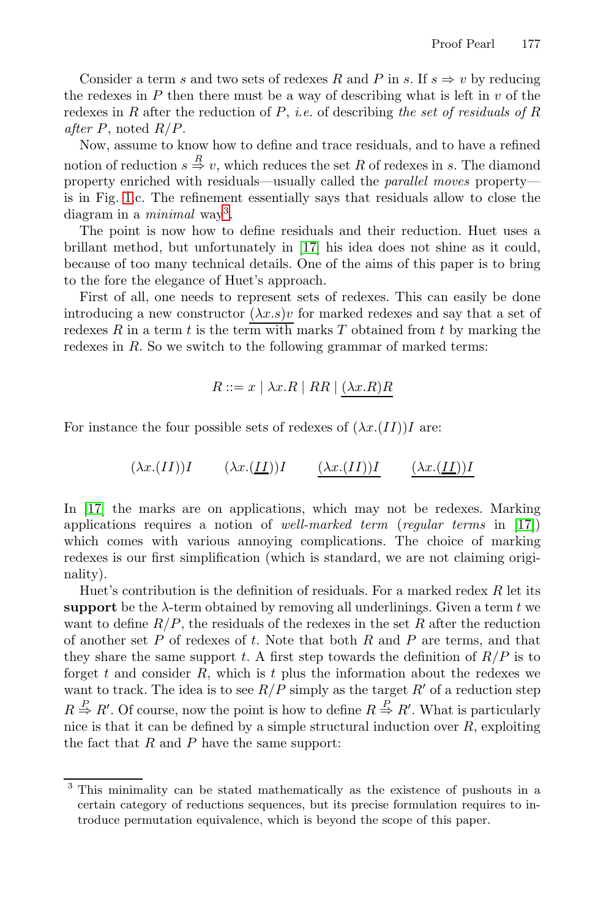Consider a term s and two sets of redexes R and P in s. If  $s \Rightarrow v$  by reducing the redexes in  $P$  then there must be a way of describing what is left in  $v$  of the redexes in R after the reduction of P, *i.e.* of describing *the set of residuals of* R *after* P, noted R/P.

Now, assume to know how to define and trace residuals, and to have a refined notion of reduction  $s \stackrel{R}{\Rightarrow} v$ , which reduces the set R of redexes in s. The diamond property enriched with residuals—usually called the *parallel moves* property is in Fig. 1.c. The refinement essentially says that residuals allow to close the diagram in a *minimal* way3.

The point is now how to define residuals and their reduction. Huet uses a brillant method, but unfortunately in [17] his idea does not shine as it could, because of too many technical details. One of the aims of this paper is to bring to the fore the elegance of Huet's approach.

First of all, one needs to represent sets of redexes. This can easily be done introducing a new constructor  $(\lambda x.s)v$  for marked redexes and say that a set of redexes R in a term t is the term with marks T obtained from t by marking the redexes in R. So we switch to the following grammar of marked terms:

$$
R ::= x \mid \lambda x.R \mid RR \mid (\lambda x.R)R
$$

For instance the four possible sets of redexes of  $(\lambda x.(II))I$  are:

$$
(\lambda x.(II))I \qquad (\lambda x.(II))I \qquad (\lambda x.(II))I \qquad (\lambda x.(II))I
$$

In [17] the marks are on applications, which may not be redexes. Marking applications requires a notion of *well-marked term* (*regular terms* in [17]) which comes with various annoying complications. The choice of marking redexes is our first simplification (which is standard, we are not claiming originality).

Huet's contribution is the definition of residuals. For a marked redex  $R$  let its **support** be the  $\lambda$ -term obtained by removing all underlinings. Given a term t we want to define  $R/P$ , the residuals of the redexes in the set R after the reduction of another set  $P$  of redexes of  $t$ . Note that both  $R$  and  $P$  are terms, and that they share the same support t. A first step towards the definition of  $R/P$  is to forget t and consider  $R$ , which is t plus the information about the redexes we want to track. The idea is to see  $R/P$  simply as the target  $R'$  of a reduction step  $R \stackrel{P}{\Rightarrow} R'$ . Of course, now the point is how to define  $R \stackrel{P}{\Rightarrow} R'$ . What is particularly nice is that it can be defined by a simple structural induction over  $R$ , exploiting the fact that  $R$  and  $P$  have the same support:

<sup>3</sup> This minimality can be stated mathematically as the existence of pushouts in a certain category of reductions sequences, but its precise formulation requires to introduce permutation equivalence, which is beyond the scope of this paper.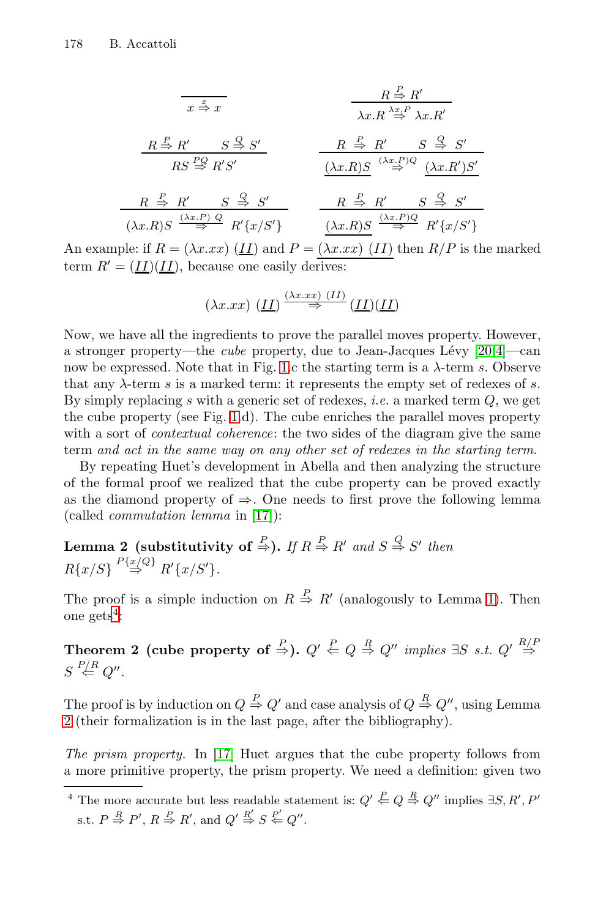| $x \stackrel{x}{\Rightarrow} x$                                          | $R \stackrel{P}{\Rightarrow} R'$                               |                                  |
|--------------------------------------------------------------------------|----------------------------------------------------------------|----------------------------------|
| $R \stackrel{P}{\Rightarrow} R'$                                         | $\lambda x.R \stackrel{\lambda x.P}{\Rightarrow} \lambda x.R'$ |                                  |
| $R S \stackrel{PQ}{\Rightarrow} R'S'$                                    | $R \stackrel{P}{\Rightarrow} R'$                               | $S \stackrel{Q}{\Rightarrow} S'$ |
| $R \stackrel{P}{\Rightarrow} R'$                                         | $S \stackrel{Q}{\Rightarrow} S'$                               |                                  |
| $(\lambda x.R)S \stackrel{(\lambda x.P)Q}{\Rightarrow} (\lambda x.R')S'$ |                                                                |                                  |
| $(\lambda x.R)S \stackrel{(\lambda x.P)Q}{\Rightarrow} R'$               | $R \stackrel{P}{\Rightarrow} R'$                               | $S \stackrel{Q}{\Rightarrow} S'$ |

An example: if  $R = (\lambda x . xx)$  (II) and  $P = (\lambda x . xx)$  (II) then  $R/P$  is the marked term  $R' = (II)(II)$ , because one easily derives:

$$
(\lambda x. x x) \; (\underline{II}) \stackrel{(\lambda x. x x) (II)}{\Rightarrow} (\underline{II})(\underline{II})
$$

Now, we have all the ingredients to prove the parallel moves property. However, a stronger property—the *cube* property, due to Jean-Jacques L´evy [20,4]—can now be expressed. Note that in Fig. 1.c the starting term is a  $\lambda$ -term s. Observe that any  $\lambda$ -term s is a marked term: it represents the empty set of redexes of s. By simply replacing s with a generic set of redexes, *i.e.* a marked term Q, we get the cube property (see Fig. 1.d). The cube enriches the parallel moves property with a sort of *contextual coherence*: the two sides of the diagram give the same term *and act in the same way on any other set of redexes in the starting term*.

By repeating Huet's development in Abella and then analyzing the structure of the formal proof we realized that the cube property can be proved exactly as the diamond property of  $\Rightarrow$ . One needs to first prove the following lemma (called *commutation lemma* in [17]):

Lemma 2 (substitutivity of  $\overset{P}{\Rightarrow}$ ). If  $R \overset{P}{\Rightarrow} R'$  and  $S \overset{Q}{\Rightarrow} S'$  then  $R\{x/S\} \stackrel{P\{x/Q\}}{\Rightarrow} R'\{x/S'\}.$ 

The proof is a simple induction on  $R \stackrel{P}{\Rightarrow} R'$  (analogously to Lemma 1). Then one gets<sup>4</sup>:

Theorem 2 (cube property of  $\stackrel{P}{\Rightarrow}$ ).  $Q' \stackrel{P}{\Leftarrow} Q \stackrel{R}{\Rightarrow} Q''$  implies  $\exists S \text{ s.t. } Q' \stackrel{R/F}{\Rightarrow} Q''$  $S\stackrel{P\!/\!R}{\Leftarrow}Q''.$ 

The proof is by induction on  $Q \stackrel{P}{\Rightarrow} Q'$  and case analysis of  $Q \stackrel{R}{\Rightarrow} Q''$ , using Lemma 2 (their formalization is in the last page, after the bibliography).

*The prism property.* In [17] Huet argues that the cube property follows from a more primitive property, the prism property. We need a definition: given two

<sup>&</sup>lt;sup>4</sup> The more accurate but less readable statement is:  $Q' \stackrel{P}{\Leftarrow} Q \stackrel{R}{\Rightarrow} Q''$  implies  $\exists S, R', P'$ s.t.  $P \stackrel{R}{\Rightarrow} P', R \stackrel{P}{\Rightarrow} R'$ , and  $Q' \stackrel{R'}{\Rightarrow} S \stackrel{P'}{\Leftarrow} Q''$ .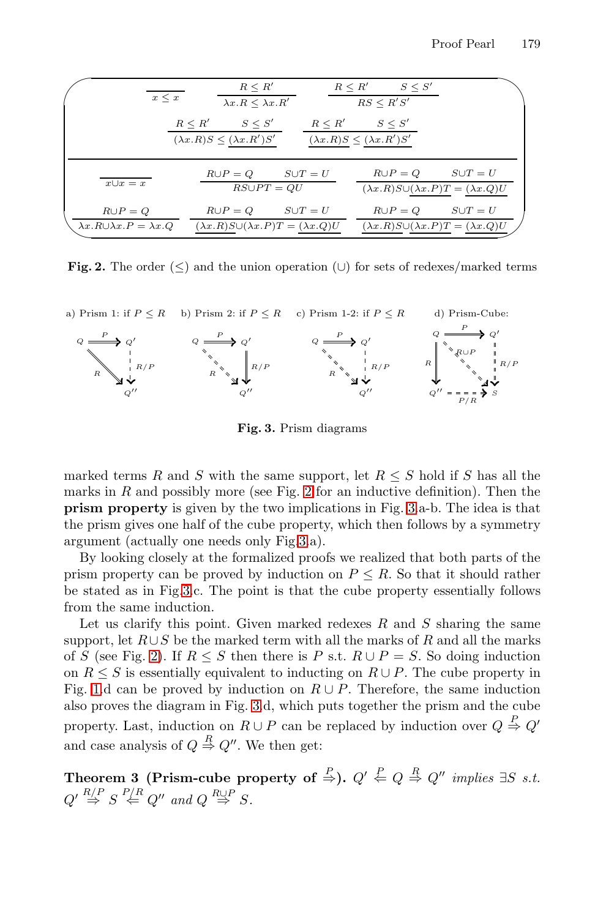| $x \leq x$                                                     |                                                       | $R \leq R'$<br>$\lambda x.R \leq \lambda x.R'$       | $R \leq R'$                                           | $S \leq S'$<br>RS < R'S'                                                              |                |
|----------------------------------------------------------------|-------------------------------------------------------|------------------------------------------------------|-------------------------------------------------------|---------------------------------------------------------------------------------------|----------------|
|                                                                | $R \leq R'$<br>$(\lambda x.R)S \leq (\lambda x.R')S'$ | $S \leq S'$                                          | $R \leq R'$<br>$(\lambda x.R)S \leq (\lambda x.R')S'$ | $S \leq S'$                                                                           |                |
| $x \cup x = x$                                                 |                                                       | $R \cup P = Q$ $S \cup T = U$<br>$RS \cup PT = QU$   |                                                       | $R \cup P = Q$ $S \cup T = U$<br>$(\lambda x.R)S\cup (\lambda x.P)T = (\lambda x.Q)U$ |                |
| $R \cup P = Q$<br>$\lambda x.R \cup \lambda x.P = \lambda x.Q$ | $R \cup P = Q$                                        | $(\lambda x.R)S\cup (\lambda x.P)T = (\lambda x.Q)U$ | $S \cup T = U$                                        | $R \cup P = Q$<br>$(\lambda x.R)S\cup (\lambda x.P)T = (\lambda x.Q)U$                | $S \cup T = U$ |

**Fig. 2.** The order  $(\leq)$  and the union operation  $(\cup)$  for sets of redexes/marked terms



**Fig. 3.** Prism diagrams

marked terms R and S with the same support, let  $R \leq S$  hold if S has all the marks in  $R$  and possibly more (see Fig. 2 for an inductive definition). Then the **prism property** is given by the two implications in Fig. 3.a-b. The idea is that the prism gives one half of the cube property, which then follows by a symmetry argument (actually one needs only Fig.3.a).

By looking closely at the formalized proofs we realized that both parts of the prism property can be proved by induction on  $P \leq R$ . So that it should rather be stated as in Fig.3.c. The point is that the cube property essentially follows from the same induction.

Let us clarify this point. Given marked redexes  $R$  and  $S$  sharing the same support, let  $R\cup S$  be the marked term with all the marks of R and all the marks of S (see Fig. 2). If  $R \leq S$  then there is P s.t.  $R \cup P = S$ . So doing induction on  $R \leq S$  is essentially equivalent to inducting on  $R \cup P$ . The cube property in Fig. 1.d can be proved by induction on  $R \cup P$ . Therefore, the same induction also proves the diagram in Fig. 3.d, which puts together the prism and the cube property. Last, induction on  $R \cup P$  can be replaced by induction over  $Q \stackrel{P}{\Rightarrow} Q'$ and case analysis of  $Q \stackrel{R}{\Rightarrow} Q''$ . We then get:

Theorem 3 (Prism-cube property of  $\overset{P}{\Rightarrow}$ ).  $Q' \overset{P}{\Leftarrow} Q \overset{R}{\Rightarrow} Q''$  implies  $\exists S$  *s.t.*  $Q' \stackrel{R/P}{\Rightarrow} S \stackrel{P/R}{\Leftarrow} Q''$  and  $Q \stackrel{R\cup P}{\Rightarrow} S$ .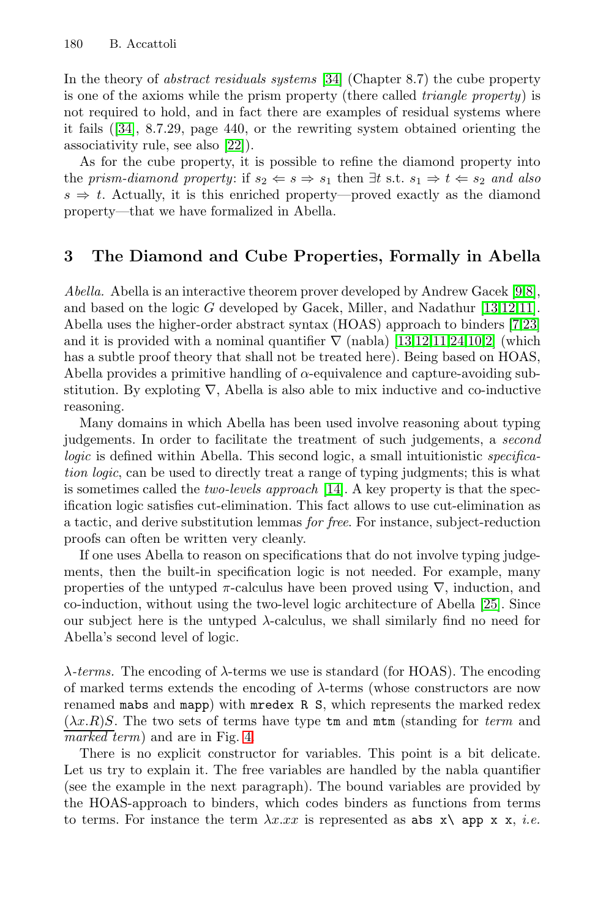In the theory of *abstract residuals systems* [34] (Chapter 8.7) the cube property is one of the axioms while the prism property (there called *triangle property*) is not required to hold, and in fact there are examples of residual systems where it fails ([34], 8.7.29, page 440, or the rewriting system obtained orienting the associativity rule, see also [22]).

As for the cube property, it is possible to refine the diamond property into the *prism-diamond property*: if  $s_2 \Leftarrow s \Rightarrow s_1$  then  $\exists t$  s.t.  $s_1 \Rightarrow t \Leftarrow s_2$  and also  $s \Rightarrow t$ . Actually, it is this enriched property—proved exactly as the diamond property—that we have formalized in Abella.

#### **3 The Diamond and Cube Properties, Formally in Abella**

*Abella.* Abella is an interactive theorem prover developed by Andrew Gacek [9,8], and based on the logic G developed by Gacek, Miller, and Nadathur [13,12,11]. Abella uses the higher-order abstract syntax (HOAS) approach to binders [7,23] and it is provided with a nominal quantifier  $\nabla$  (nabla) [13,12,11,24,10,2] (which has a subtle proof theory that shall not be treated here). Being based on HOAS, Abella provides a primitive handling of  $\alpha$ -equivalence and capture-avoiding substitution. By exploting  $\nabla$ , Abella is also able to mix inductive and co-inductive reasoning.

Many domains in which Abella has been used involve reasoning about typing judgements. In order to facilitate the treatment of such judgements, a *second logic* is defined within Abella. This second logic, a small intuitionistic *specification logic*, can be used to directly treat a range of typing judgments; this is what is sometimes called the *two-levels approach* [14]. A key property is that the specification logic satisfies cut-elimination. This fact allows to use cut-elimination as a tactic, and derive substitution lemmas *for free*. For instance, subject-reduction proofs can often be written very cleanly.

If one uses Abella to reason on specifications that do not involve typing judgements, then the built-in specification logic is not needed. For example, many properties of the untyped  $\pi$ -calculus have been proved using  $\nabla$ , induction, and co-induction, without using the two-level logic architecture of Abella [25]. Since our subject here is the untyped  $\lambda$ -calculus, we shall similarly find no need for Abella's second level of logic.

 $\lambda$ -terms. The encoding of  $\lambda$ -terms we use is standard (for HOAS). The encoding of marked terms extends the encoding of  $\lambda$ -terms (whose constructors are now renamed mabs and mapp) with mredex R S, which represents the marked redex  $(\lambda x.R)S$ . The two sets of terms have type  $\tan \pi m$  (standing for *term* and *marked term*) and are in Fig. 4.

There is no explicit constructor for variables. This point is a bit delicate. Let us try to explain it. The free variables are handled by the nabla quantifier (see the example in the next paragraph). The bound variables are provided by the HOAS-approach to binders, which codes binders as functions from terms to terms. For instance the term  $\lambda x . x x$  is represented as abs  $x \setminus app x x$ , *i.e.*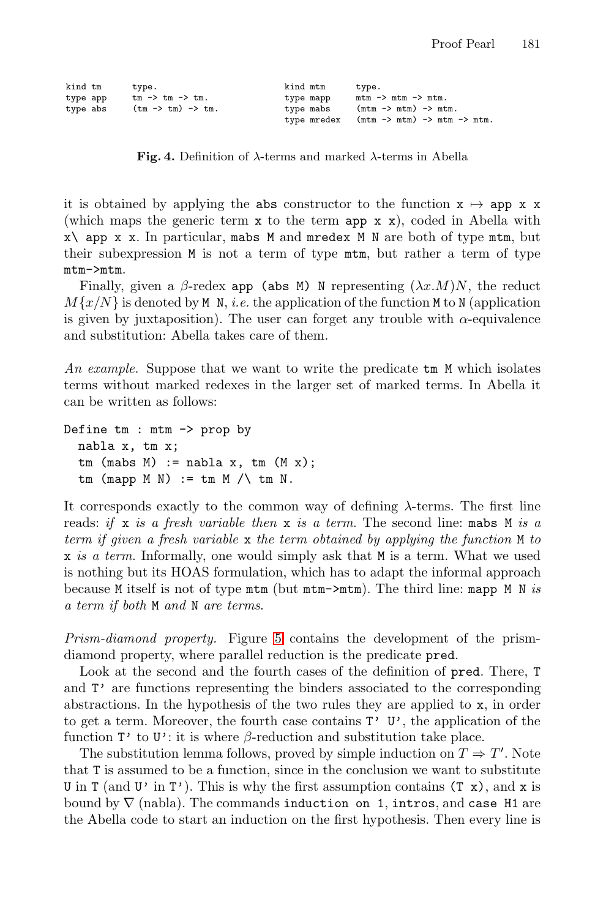| kind tm  | type.                                 | kind mtm    | type.                                     |
|----------|---------------------------------------|-------------|-------------------------------------------|
| type app | $tm \rightarrow tm \rightarrow tm$ .  | type mapp   | $mtm \rightarrow mtm \rightarrow mtm$ .   |
| type abs | $(tm \rightarrow tm) \rightarrow tm.$ | type mabs   | $(mt m \rightarrow mtm) \rightarrow mtm.$ |
|          |                                       | type mredex | $(mt - > mtm) - > mtm - > mtm.$           |

**Fig. 4.** Definition of <sup>λ</sup>-terms and marked <sup>λ</sup>-terms in Abella

it is obtained by applying the abs constructor to the function  $x \mapsto app x x$ (which maps the generic term  $x$  to the term app  $x$   $x$ ), coded in Abella with  $x\$  app  $x$  x. In particular, mabs M and mredex M N are both of type mtm, but their subexpression M is not a term of type mtm, but rather a term of type mtm->mtm.

Finally, given a  $\beta$ -redex app (abs M) N representing  $(\lambda x.M)N$ , the reduct  $M\{x/N\}$  is denoted by M<sub>N</sub>, *i.e.* the application of the function M to N (application is given by juxtaposition). The user can forget any trouble with  $\alpha$ -equivalence and substitution: Abella takes care of them.

An example. Suppose that we want to write the predicate  $tm$  M which isolates terms without marked redexes in the larger set of marked terms. In Abella it can be written as follows:

```
Define tm : mtm -> prop by
  nabla x, tm x;
  tm (mabs M) := nabla x, tm (M x);
  tm (mapp M N) := tm M / \ tm N.
```
It corresponds exactly to the common way of defining  $\lambda$ -terms. The first line reads: *if* x *is a fresh variable then* x *is a term*. The second line: mabs M *is a term if given a fresh variable* x *the term obtained by applying the function* M *to* x *is a term*. Informally, one would simply ask that M is a term. What we used is nothing but its HOAS formulation, which has to adapt the informal approach because M itself is not of type mtm (but mtm->mtm). The third line: mapp M N *is a term if both* M *and* N *are terms*.

*Prism-diamond property.* Figure 5 contains the development of the prismdiamond property, where parallel reduction is the predicate pred.

Look at the second and the fourth cases of the definition of pred. There, T and T' are functions representing the binders associated to the corresponding abstractions. In the hypothesis of the two rules they are applied to x, in order to get a term. Moreover, the fourth case contains  $T'$  U', the application of the function  $\mathbf{T}'$  to  $\mathbf{U}'$ : it is where  $\beta$ -reduction and substitution take place.

The substitution lemma follows, proved by simple induction on  $T \Rightarrow T'$ . Note that T is assumed to be a function, since in the conclusion we want to substitute U in T (and U' in T'). This is why the first assumption contains  $(T x)$ , and x is bound by  $\nabla$  (nabla). The commands induction on 1, intros, and case H1 are the Abella code to start an induction on the first hypothesis. Then every line is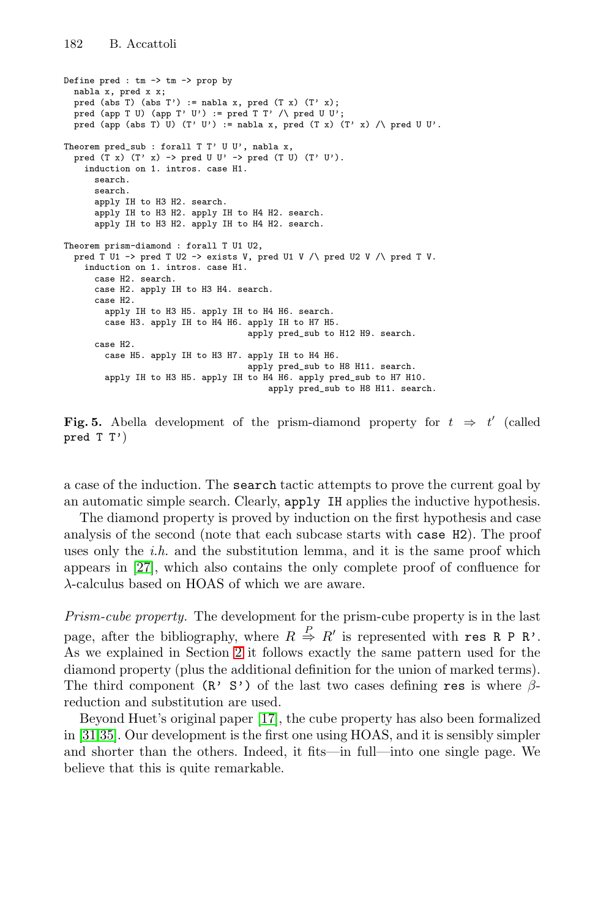```
Define pred : tm \rightarrow tm \rightarrow prop by
 nabla x, pred x x;
 pred (abs T) (abs T') := nabla x, pred (T x) (T' x);
 pred (app T U) (app T' U') := pred T T' /\ pred U U';
 pred (app (abs T) U) (T' U') := nabla x, pred (T x) (T' x) /\ pred U U'.
Theorem pred_sub : forall T T' U U', nabla x,
 pred (T x) (T' x) -> pred U U' -> pred (T U) (T' U').
   induction on 1. intros. case H1.
     search.
      search.
      apply IH to H3 H2. search.
      apply IH to H3 H2. apply IH to H4 H2. search.
      apply IH to H3 H2. apply IH to H4 H2. search.
Theorem prism-diamond : forall T U1 U2,
 pred T U1 -> pred T U2 -> exists V, pred U1 V /\ pred U2 V /\ pred T V.
   induction on 1. intros. case H1.
     case H2. search.
      case H2. apply IH to H3 H4. search.
      case H2.
        apply IH to H3 H5. apply IH to H4 H6. search.
        case H3. apply IH to H4 H6. apply IH to H7 H5.
                                     apply pred_sub to H12 H9. search.
      case H2.
       case H5. apply IH to H3 H7. apply IH to H4 H6.
                                     apply pred_sub to H8 H11. search.
       apply IH to H3 H5. apply IH to H4 H6. apply pred_sub to H7 H10.
                                        apply pred_sub to H8 H11. search.
```
**Fig. 5.** Abella development of the prism-diamond property for  $t \Rightarrow t'$  (called proof  $\mathbb{T}$   $\mathbb{T}^2$ ) pred  $T T'$ )

a case of the induction. The search tactic attempts to prove the current goal by an automatic simple search. Clearly, apply IH applies the inductive hypothesis.

The diamond property is proved by induction on the first hypothesis and case analysis of the second (note that each subcase starts with case H2). The proof uses only the *i.h.* and the substitution lemma, and it is the same proof which appears in [27], which also contains the only complete proof of confluence for λ-calculus based on HOAS of which we are aware.

*Prism-cube property.* The development for the prism-cube property is in the last page, after the bibliography, where  $R \stackrel{P}{\Rightarrow} R'$  is represented with res R P R'. As we explained in Section 2 it follows exactly the same pattern used for the diamond property (plus the additional definition for the union of marked terms). The third component  $(R' S')$  of the last two cases defining res is where  $\beta$ reduction and substitution are used.

Beyond Huet's original paper [17], the cube property has also been formalized in [31,35]. Our development is the first one using HOAS, and it is sensibly simpler and shorter than the others. Indeed, it fits—in full—into one single page. We believe that this is quite remarkable.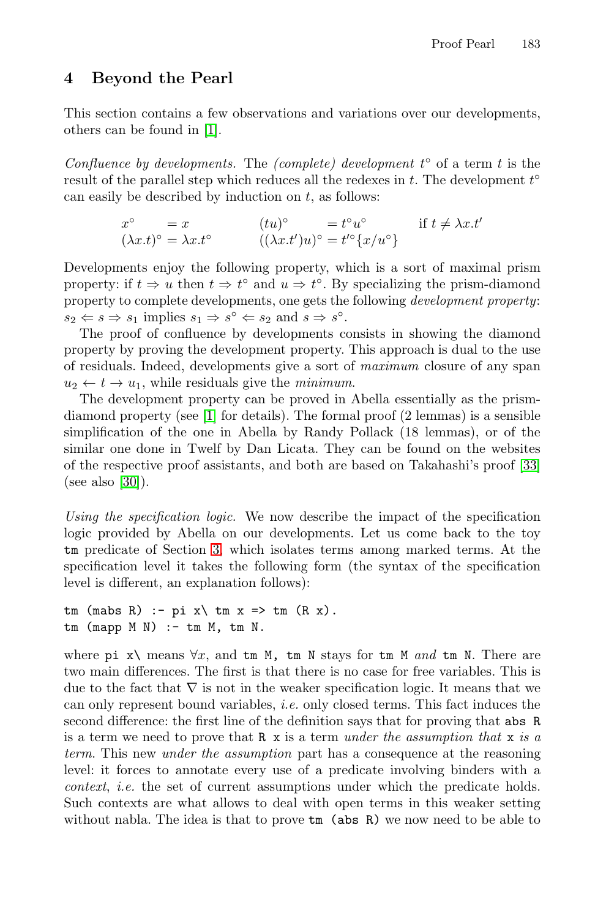#### **4 Beyond the Pearl**

This section contains a few observations and variations over our developments, others can be found in [1].

*Confluence by developments.* The *(complete) development*  $t^{\circ}$  of a term  $t$  is the result of the parallel step which reduces all the redexes in  $t$ . The development  $t^{\circ}$ can easily be described by induction on  $t$ , as follows:

$$
x^{\circ} = x \qquad (tu)^{\circ} = t^{\circ}u^{\circ} \qquad \text{if } t \neq \lambda x.t'
$$
  

$$
(\lambda x.t)^{\circ} = \lambda x.t^{\circ} \qquad ((\lambda x.t')u)^{\circ} = t'^{\circ}\{x/u^{\circ}\}
$$

Developments enjoy the following property, which is a sort of maximal prism property: if  $t \Rightarrow u$  then  $t \Rightarrow t^{\circ}$  and  $u \Rightarrow t^{\circ}$ . By specializing the prism-diamond property to complete developments, one gets the following *development property*:  $s_2 \Leftarrow s \Rightarrow s_1$  implies  $s_1 \Rightarrow s^\circ \Leftarrow s_2$  and  $s \Rightarrow s^\circ$ .

The proof of confluence by developments consists in showing the diamond property by proving the development property. This approach is dual to the use of residuals. Indeed, developments give a sort of *maximum* closure of any span  $u_2 \leftarrow t \rightarrow u_1$ , while residuals give the *minimum*.

The development property can be proved in Abella essentially as the prismdiamond property (see [1] for details). The formal proof (2 lemmas) is a sensible simplification of the one in Abella by Randy Pollack (18 lemmas), or of the similar one done in Twelf by Dan Licata. They can be found on the websites of the respective proof assistants, and both are based on Takahashi's proof [33] (see also [30]).

*Using the specification logic.* We now describe the impact of the specification logic provided by Abella on our developments. Let us come back to the toy tm predicate of Section 3, which isolates terms among marked terms. At the specification level it takes the following form (the syntax of the specification level is different, an explanation follows):

```
tm (mabs R) :- pi x\ tm x => tm (R x).
tm (mapp M N) := tm M, tm N.
```
where pi  $x\setminus$  means  $\forall x$ , and  $\tan M$ ,  $\tan N$  stays for  $\tan M$  and  $\tan M$ . There are two main differences. The first is that there is no case for free variables. This is due to the fact that  $\nabla$  is not in the weaker specification logic. It means that we can only represent bound variables, *i.e.* only closed terms. This fact induces the second difference: the first line of the definition says that for proving that abs R is a term we need to prove that R x is a term *under the assumption that* x *is a term*. This new *under the assumption* part has a consequence at the reasoning level: it forces to annotate every use of a predicate involving binders with a *context*, *i.e.* the set of current assumptions under which the predicate holds. Such contexts are what allows to deal with open terms in this weaker setting without nabla. The idea is that to prove tm (abs R) we now need to be able to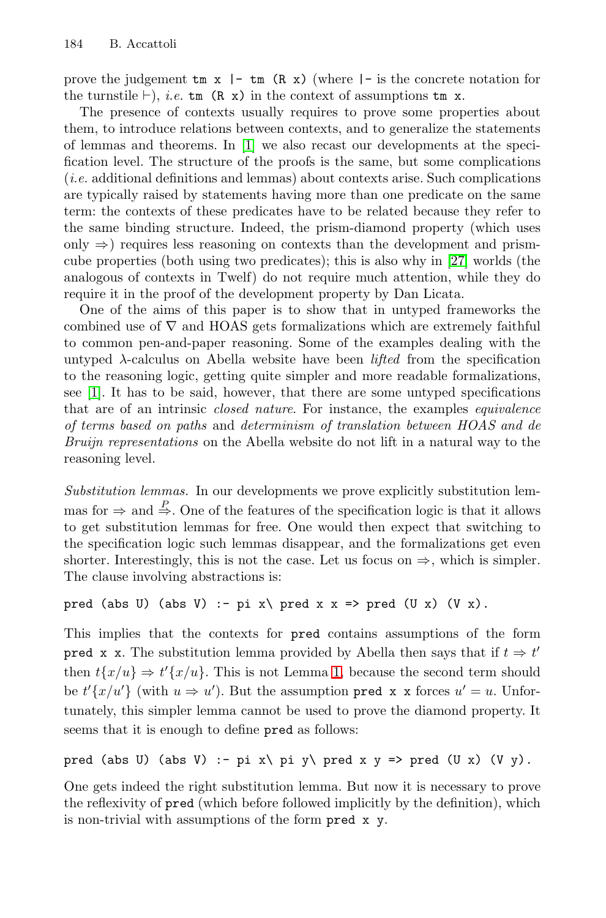prove the judgement  $\tan x$  |-  $\tan (R x)$  (where |- is the concrete notation for the turnstile  $\vdash$ ), *i.e.* tm (R x) in the context of assumptions tm x.

The presence of contexts usually requires to prove some properties about them, to introduce relations between contexts, and to generalize the statements of lemmas and theorems. In [1] we also recast our developments at the specification level. The structure of the proofs is the same, but some complications (*i.e.* additional definitions and lemmas) about contexts arise. Such complications are typically raised by statements having more than one predicate on the same term: the contexts of these predicates have to be related because they refer to the same binding structure. Indeed, the prism-diamond property (which uses only  $\Rightarrow$ ) requires less reasoning on contexts than the development and prismcube properties (both using two predicates); this is also why in [27] worlds (the analogous of contexts in Twelf) do not require much attention, while they do require it in the proof of the development property by Dan Licata.

One of the aims of this paper is to show that in untyped frameworks the combined use of  $\nabla$  and HOAS gets formalizations which are extremely faithful to common pen-and-paper reasoning. Some of the examples dealing with the untyped  $\lambda$ -calculus on Abella website have been *lifted* from the specification to the reasoning logic, getting quite simpler and more readable formalizations, see [1]. It has to be said, however, that there are some untyped specifications that are of an intrinsic *closed nature*. For instance, the examples *equivalence of terms based on paths* and *determinism of translation between HOAS and de Bruijn representations* on the Abella website do not lift in a natural way to the reasoning level.

*Substitution lemmas.* In our developments we prove explicitly substitution lemmas for  $\Rightarrow$  and  $\stackrel{P}{\Rightarrow}$ . One of the features of the specification logic is that it allows to get substitution lemmas for free. One would then expect that switching to the specification logic such lemmas disappear, and the formalizations get even shorter. Interestingly, this is not the case. Let us focus on  $\Rightarrow$ , which is simpler. The clause involving abstractions is:

```
pred (abs U) (abs V) :- pi x\ pred x x => pred (U x) (V x).
```
This implies that the contexts for pred contains assumptions of the form **pred x x.** The substitution lemma provided by Abella then says that if  $t \Rightarrow t'$ then  $t\{x/u\} \Rightarrow t'\{x/u\}$ . This is not Lemma 1, because the second term should be  $t'\{x/u'\}$  (with  $u \Rightarrow u'$ ). But the assumption pred x x forces  $u' = u$ . Unfortunately, this simpler lemma cannot be used to prove the diamond property. It seems that it is enough to define pred as follows:

```
pred (abs U) (abs V) :- pi x\ pi y\ pred x y => pred (U x) (V y).
```
One gets indeed the right substitution lemma. But now it is necessary to prove the reflexivity of pred (which before followed implicitly by the definition), which is non-trivial with assumptions of the form pred x y.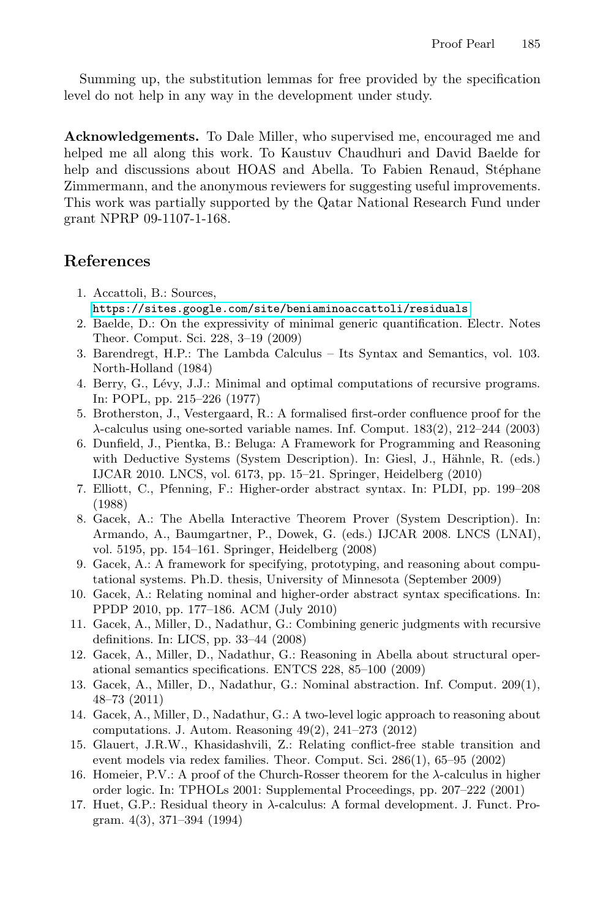Summing up, the substitution lemmas for free provided by the specification level do not help in any way in the development under study.

**Acknowledgements.** To Dale Miller, who supervised me, encouraged me and helped me all along this work. To Kaustuv Chaudhuri and David Baelde for help and discussions about HOAS and Abella. To Fabien Renaud, Stéphane Zimmermann, and the anonymous reviewers for suggesting useful improvements. This work was partially supported by the Qatar National Research Fund under grant NPRP 09-1107-1-168.

#### **References**

- 1. Accattoli, B.: Sources, <https://sites.google.com/site/beniaminoaccattoli/residuals>
- 2. Baelde, D.: On the expressivity of minimal generic quantification. Electr. Notes Theor. Comput. Sci. 228, 3–19 (2009)
- 3. Barendregt, H.P.: The Lambda Calculus Its Syntax and Semantics, vol. 103. North-Holland (1984)
- 4. Berry, G., Lévy, J.J.: Minimal and optimal computations of recursive programs. In: POPL, pp. 215–226 (1977)
- 5. Brotherston, J., Vestergaard, R.: A formalised first-order confluence proof for the  $\lambda$ -calculus using one-sorted variable names. Inf. Comput. 183(2), 212–244 (2003)
- 6. Dunfield, J., Pientka, B.: Beluga: A Framework for Programming and Reasoning with Deductive Systems (System Description). In: Giesl, J., Hähnle, R. (eds.) IJCAR 2010. LNCS, vol. 6173, pp. 15–21. Springer, Heidelberg (2010)
- 7. Elliott, C., Pfenning, F.: Higher-order abstract syntax. In: PLDI, pp. 199–208 (1988)
- 8. Gacek, A.: The Abella Interactive Theorem Prover (System Description). In: Armando, A., Baumgartner, P., Dowek, G. (eds.) IJCAR 2008. LNCS (LNAI), vol. 5195, pp. 154–161. Springer, Heidelberg (2008)
- 9. Gacek, A.: A framework for specifying, prototyping, and reasoning about computational systems. Ph.D. thesis, University of Minnesota (September 2009)
- 10. Gacek, A.: Relating nominal and higher-order abstract syntax specifications. In: PPDP 2010, pp. 177–186. ACM (July 2010)
- 11. Gacek, A., Miller, D., Nadathur, G.: Combining generic judgments with recursive definitions. In: LICS, pp. 33–44 (2008)
- 12. Gacek, A., Miller, D., Nadathur, G.: Reasoning in Abella about structural operational semantics specifications. ENTCS 228, 85–100 (2009)
- 13. Gacek, A., Miller, D., Nadathur, G.: Nominal abstraction. Inf. Comput. 209(1), 48–73 (2011)
- 14. Gacek, A., Miller, D., Nadathur, G.: A two-level logic approach to reasoning about computations. J. Autom. Reasoning 49(2), 241–273 (2012)
- 15. Glauert, J.R.W., Khasidashvili, Z.: Relating conflict-free stable transition and event models via redex families. Theor. Comput. Sci. 286(1), 65–95 (2002)
- 16. Homeier, P.V.: A proof of the Church-Rosser theorem for the  $\lambda$ -calculus in higher order logic. In: TPHOLs 2001: Supplemental Proceedings, pp. 207–222 (2001)
- 17. Huet, G.P.: Residual theory in λ-calculus: A formal development. J. Funct. Program. 4(3), 371–394 (1994)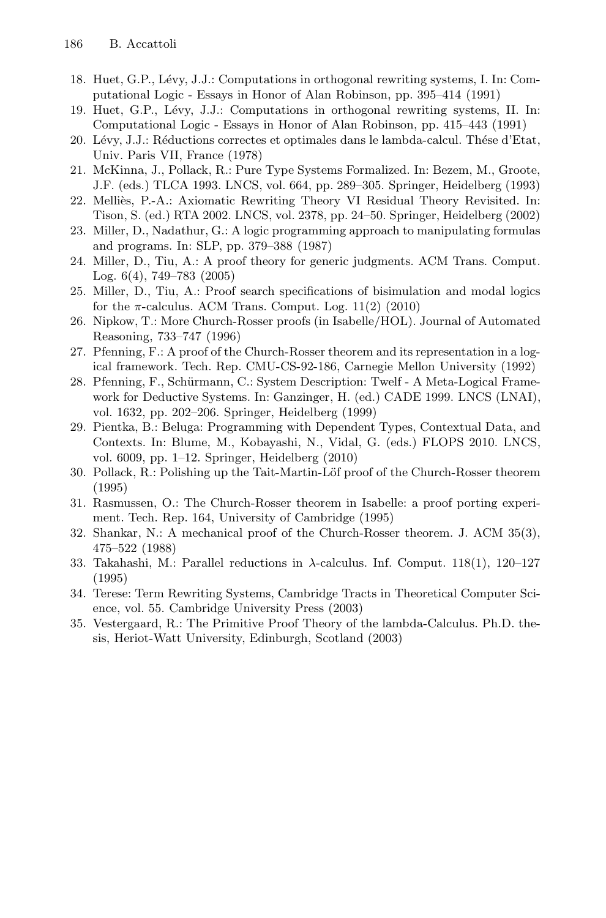- 18. Huet, G.P., L´evy, J.J.: Computations in orthogonal rewriting systems, I. In: Computational Logic - Essays in Honor of Alan Robinson, pp. 395–414 (1991)
- 19. Huet, G.P., Lévy, J.J.: Computations in orthogonal rewriting systems, II. In: Computational Logic - Essays in Honor of Alan Robinson, pp. 415–443 (1991)
- 20. Lévy, J.J.: Réductions correctes et optimales dans le lambda-calcul. Thése d'Etat, Univ. Paris VII, France (1978)
- 21. McKinna, J., Pollack, R.: Pure Type Systems Formalized. In: Bezem, M., Groote, J.F. (eds.) TLCA 1993. LNCS, vol. 664, pp. 289–305. Springer, Heidelberg (1993)
- 22. Melliès, P.-A.: Axiomatic Rewriting Theory VI Residual Theory Revisited. In: Tison, S. (ed.) RTA 2002. LNCS, vol. 2378, pp. 24–50. Springer, Heidelberg (2002)
- 23. Miller, D., Nadathur, G.: A logic programming approach to manipulating formulas and programs. In: SLP, pp. 379–388 (1987)
- 24. Miller, D., Tiu, A.: A proof theory for generic judgments. ACM Trans. Comput. Log. 6(4), 749–783 (2005)
- 25. Miller, D., Tiu, A.: Proof search specifications of bisimulation and modal logics for the  $\pi$ -calculus. ACM Trans. Comput. Log. 11(2) (2010)
- 26. Nipkow, T.: More Church-Rosser proofs (in Isabelle/HOL). Journal of Automated Reasoning, 733–747 (1996)
- 27. Pfenning, F.: A proof of the Church-Rosser theorem and its representation in a logical framework. Tech. Rep. CMU-CS-92-186, Carnegie Mellon University (1992)
- 28. Pfenning, F., Schürmann, C.: System Description: Twelf A Meta-Logical Framework for Deductive Systems. In: Ganzinger, H. (ed.) CADE 1999. LNCS (LNAI), vol. 1632, pp. 202–206. Springer, Heidelberg (1999)
- 29. Pientka, B.: Beluga: Programming with Dependent Types, Contextual Data, and Contexts. In: Blume, M., Kobayashi, N., Vidal, G. (eds.) FLOPS 2010. LNCS, vol. 6009, pp. 1–12. Springer, Heidelberg (2010)
- 30. Pollack, R.: Polishing up the Tait-Martin-Löf proof of the Church-Rosser theorem (1995)
- 31. Rasmussen, O.: The Church-Rosser theorem in Isabelle: a proof porting experiment. Tech. Rep. 164, University of Cambridge (1995)
- 32. Shankar, N.: A mechanical proof of the Church-Rosser theorem. J. ACM 35(3), 475–522 (1988)
- 33. Takahashi, M.: Parallel reductions in  $\lambda$ -calculus. Inf. Comput. 118(1), 120–127 (1995)
- 34. Terese: Term Rewriting Systems, Cambridge Tracts in Theoretical Computer Science, vol. 55. Cambridge University Press (2003)
- 35. Vestergaard, R.: The Primitive Proof Theory of the lambda-Calculus. Ph.D. thesis, Heriot-Watt University, Edinburgh, Scotland (2003)